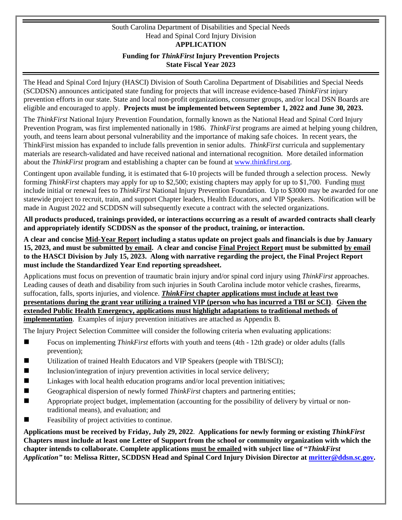#### South Carolina Department of Disabilities and Special Needs Head and Spinal Cord Injury Division **APPLICATION Funding for** *ThinkFirst* **Injury Prevention Projects State Fiscal Year 2023**

The Head and Spinal Cord Injury (HASCI) Division of South Carolina Department of Disabilities and Special Needs (SCDDSN) announces anticipated state funding for projects that will increase evidence-based *ThinkFirst* injury prevention efforts in our state. State and local non-profit organizations, consumer groups, and/or local DSN Boards are eligible and encouraged to apply. **Projects must be implemented between September 1, 2022 and June 30, 2023.** 

The *ThinkFirst* National Injury Prevention Foundation, formally known as the National Head and Spinal Cord Injury Prevention Program, was first implemented nationally in 1986. *ThinkFirst* programs are aimed at helping young children, youth, and teens learn about personal vulnerability and the importance of making safe choices. In recent years, the ThinkFirst mission has expanded to include falls prevention in senior adults. *ThinkFirst* curricula and supplementary materials are research-validated and have received national and international recognition. More detailed information about the *ThinkFirst* program and establishing a chapter can be found at [www.thinkfirst.org.](http://www.thinkfirst.org/)

Contingent upon available funding, it is estimated that 6-10 projects will be funded through a selection process. Newly forming *ThinkFirst* chapters may apply for up to \$2,500; existing chapters may apply for up to \$1,700. Funding must include initial or renewal fees to *ThinkFirst* National Injury Prevention Foundation. Up to \$3000 may be awarded for one statewide project to recruit, train, and support Chapter leaders, Health Educators, and VIP Speakers. Notification will be made in August 2022 and SCDDSN will subsequently execute a contract with the selected organizations.

**All products produced, trainings provided, or interactions occurring as a result of awarded contracts shall clearly and appropriately identify SCDDSN as the sponsor of the product, training, or interaction.**

**A clear and concise Mid-Year Report including a status update on project goals and financials is due by January 15, 2023, and must be submitted by email. A clear and concise Final Project Report must be submitted by email to the HASCI Division by July 15, 2023. Along with narrative regarding the project, the Final Project Report must include the Standardized Year End reporting spreadsheet.** 

Applications must focus on prevention of traumatic brain injury and/or spinal cord injury using *ThinkFirst* approaches. Leading causes of death and disability from such injuries in South Carolina include motor vehicle crashes, firearms, suffocation, falls, sports injuries, and violence. *ThinkFirst* **chapter applications must include at least two presentations during the grant year utilizing a trained VIP (person who has incurred a TBI or SCI)**. **Given the extended Public Health Emergency, applications must highlight adaptations to traditional methods of implementation**. Examples of injury prevention initiatives are attached as Appendix B.

The Injury Project Selection Committee will consider the following criteria when evaluating applications:

- Focus on implementing *ThinkFirst* efforts with youth and teens (4th 12th grade) or older adults (falls prevention);
- Utilization of trained Health Educators and VIP Speakers (people with TBI/SCI);
- Inclusion/integration of injury prevention activities in local service delivery;
- Linkages with local health education programs and/or local prevention initiatives;
- Geographical dispersion of newly formed *ThinkFirst* chapters and partnering entities;
- **Appropriate project budget, implementation (accounting for the possibility of delivery by virtual or non**traditional means), and evaluation; and
- **Feasibility of project activities to continue.**

**Applications must be received by Friday, July 29, 2022**. **Applications for newly forming or existing** *ThinkFirst* **Chapters must include at least one Letter of Support from the school or community organization with which the chapter intends to collaborate. Complete applications must be emailed with subject line of "***ThinkFirst Application"* **to: Melissa Ritter, SCDDSN Head and Spinal Cord Injury Division Director at [mritter@ddsn.sc.gov.](mailto:mritter@ddsn.sc.gov)**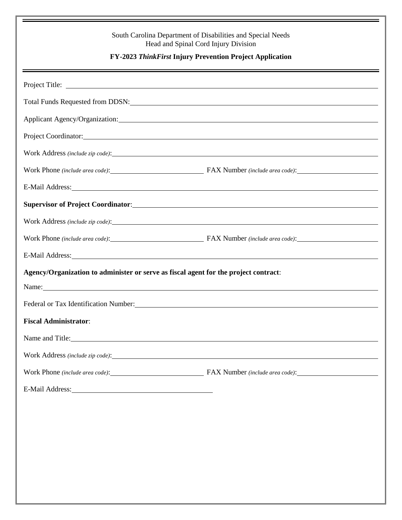| South Carolina Department of Disabilities and Special Needs<br>Head and Spinal Cord Injury Division<br>FY-2023 ThinkFirst Injury Prevention Project Application                                                                |                                                                 |  |  |  |  |
|--------------------------------------------------------------------------------------------------------------------------------------------------------------------------------------------------------------------------------|-----------------------------------------------------------------|--|--|--|--|
|                                                                                                                                                                                                                                |                                                                 |  |  |  |  |
| Total Funds Requested from DDSN:                                                                                                                                                                                               |                                                                 |  |  |  |  |
|                                                                                                                                                                                                                                |                                                                 |  |  |  |  |
|                                                                                                                                                                                                                                |                                                                 |  |  |  |  |
|                                                                                                                                                                                                                                |                                                                 |  |  |  |  |
|                                                                                                                                                                                                                                | Work Phone (include area code): FAX Number (include area code): |  |  |  |  |
| E-Mail Address: No. 1996. The Mail Address: No. 1997. The Mail Address: No. 1997. The Mail Address: No. 1997. The Mail Address: No. 1997. The Mail Address: No. 1997. The Mail Address: No. 1997. The Mail Address: No. 1997.  |                                                                 |  |  |  |  |
| Supervisor of Project Coordinator:                                                                                                                                                                                             |                                                                 |  |  |  |  |
|                                                                                                                                                                                                                                |                                                                 |  |  |  |  |
|                                                                                                                                                                                                                                | Work Phone (include area code): FAX Number (include area code): |  |  |  |  |
| E-Mail Address: No. 2014 19:30 and 2014 19:30 and 2014 19:30 and 2014 19:30 and 2014 19:30 and 2014 19:30 and 2014 19:30 and 2014 19:30 and 2014 19:30 and 2014 19:30 and 2014 19:30 and 2014 19:30 and 2014 19:30 and 2014 19 |                                                                 |  |  |  |  |
| Agency/Organization to administer or serve as fiscal agent for the project contract:                                                                                                                                           |                                                                 |  |  |  |  |
| Name:                                                                                                                                                                                                                          |                                                                 |  |  |  |  |
|                                                                                                                                                                                                                                |                                                                 |  |  |  |  |
| <b>Fiscal Administrator:</b>                                                                                                                                                                                                   |                                                                 |  |  |  |  |
| Name and Title:                                                                                                                                                                                                                |                                                                 |  |  |  |  |
|                                                                                                                                                                                                                                |                                                                 |  |  |  |  |
|                                                                                                                                                                                                                                | Work Phone (include area code): FAX Number (include area code): |  |  |  |  |
| E-Mail Address: No. 1996. The Mail Address:                                                                                                                                                                                    |                                                                 |  |  |  |  |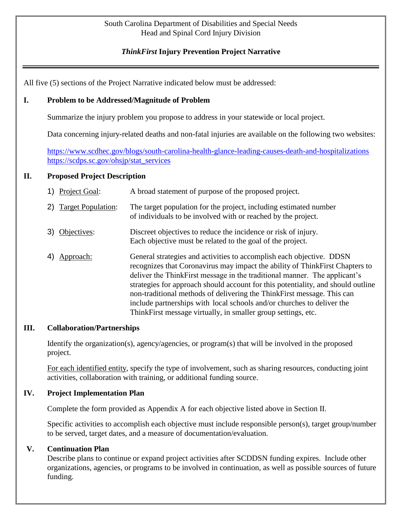#### South Carolina Department of Disabilities and Special Needs Head and Spinal Cord Injury Division

# *ThinkFirst* **Injury Prevention Project Narrative**

All five (5) sections of the Project Narrative indicated below must be addressed:

### **I. Problem to be Addressed/Magnitude of Problem**

Summarize the injury problem you propose to address in your statewide or local project.

Data concerning injury-related deaths and non-fatal injuries are available on the following two websites:

<https://www.scdhec.gov/blogs/south-carolina-health-glance-leading-causes-death-and-hospitalizations> [https://scdps.sc.gov/ohsjp/stat\\_services](https://scdps.sc.gov/ohsjp/stat_services)

### **II. Proposed Project Description**

| 1) Project Goal:      | A broad statement of purpose of the proposed project.             |
|-----------------------|-------------------------------------------------------------------|
| 2) Target Population: | The target population for the project, including estimated number |
|                       | of individuals to be involved with or reached by the project.     |

- 3) Objectives: Discreet objectives to reduce the incidence or risk of injury. Each objective must be related to the goal of the project.
- 4) Approach: General strategies and activities to accomplish each objective. DDSN recognizes that Coronavirus may impact the ability of ThinkFirst Chapters to deliver the ThinkFirst message in the traditional manner. The applicant's strategies for approach should account for this potentiality, and should outline non-traditional methods of delivering the ThinkFirst message. This can include partnerships with local schools and/or churches to deliver the ThinkFirst message virtually, in smaller group settings, etc.

### **III. Collaboration/Partnerships**

Identify the organization(s), agency/agencies, or program(s) that will be involved in the proposed project.

For each identified entity, specify the type of involvement, such as sharing resources, conducting joint activities, collaboration with training, or additional funding source.

### **IV. Project Implementation Plan**

Complete the form provided as Appendix A for each objective listed above in Section II.

Specific activities to accomplish each objective must include responsible person(s), target group/number to be served, target dates, and a measure of documentation/evaluation.

### **V. Continuation Plan**

Describe plans to continue or expand project activities after SCDDSN funding expires. Include other organizations, agencies, or programs to be involved in continuation, as well as possible sources of future funding.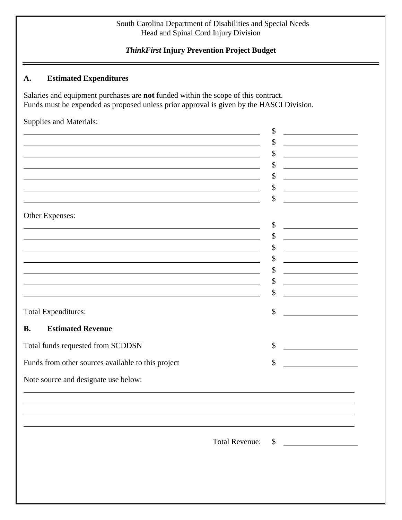### South Carolina Department of Disabilities and Special Needs Head and Spinal Cord Injury Division

# *ThinkFirst* **Injury Prevention Project Budget**

# **A. Estimated Expenditures**

Salaries and equipment purchases are **not** funded within the scope of this contract. Funds must be expended as proposed unless prior approval is given by the HASCI Division.

Supplies and Materials:

|                                                                                                                      |                       | \$                                            |
|----------------------------------------------------------------------------------------------------------------------|-----------------------|-----------------------------------------------|
|                                                                                                                      |                       | \$                                            |
|                                                                                                                      |                       | \$                                            |
|                                                                                                                      |                       | \$                                            |
|                                                                                                                      |                       | \$                                            |
|                                                                                                                      |                       | \$                                            |
|                                                                                                                      |                       | \$                                            |
|                                                                                                                      |                       |                                               |
| Other Expenses:                                                                                                      |                       | \$                                            |
|                                                                                                                      |                       | \$                                            |
| and the control of the control of the control of the control of the control of the control of the control of the     |                       | \$                                            |
| <u> 1989 - Johann Barbara, marka a shekara tsa 1989 - An tsa 1989 - An tsa 1989 - An tsa 1989 - An tsa 1989 - An</u> |                       | \$                                            |
| <u> 1989 - Johann Barbara, martin amerikan basar dan berasal dalam basa dalam basar dalam basar dalam basar dala</u> |                       | \$<br><u> 1989 - Johann Barbara, martxa a</u> |
|                                                                                                                      |                       | \$                                            |
|                                                                                                                      |                       | \$                                            |
|                                                                                                                      |                       |                                               |
| <b>Total Expenditures:</b>                                                                                           |                       | \$                                            |
| <b>Estimated Revenue</b><br><b>B.</b>                                                                                |                       |                                               |
| Total funds requested from SCDDSN                                                                                    |                       | \$                                            |
| Funds from other sources available to this project                                                                   |                       | \$                                            |
|                                                                                                                      |                       |                                               |
| Note source and designate use below:                                                                                 |                       |                                               |
|                                                                                                                      |                       |                                               |
|                                                                                                                      |                       |                                               |
|                                                                                                                      |                       |                                               |
|                                                                                                                      |                       |                                               |
|                                                                                                                      | <b>Total Revenue:</b> | \$                                            |
|                                                                                                                      |                       |                                               |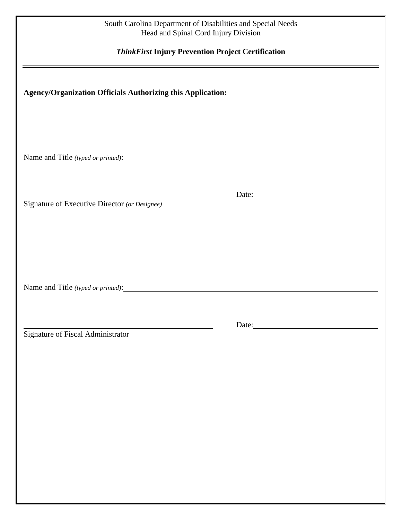#### South Carolina Department of Disabilities and Special Needs Head and Spinal Cord Injury Division

# *ThinkFirst* **Injury Prevention Project Certification**

## **Agency/Organization Officials Authorizing this Application:**

Name and Title *(typed or printed)*:

Signature of Executive Director *(or Designee)*

Name and Title *(typed or printed)*:

Signature of Fiscal Administrator

example and the contract of the Date:

and the contract of the contract of the contract of the contract of the contract of the contract of the contract of the contract of the contract of the contract of the contract of the contract of the contract of the contra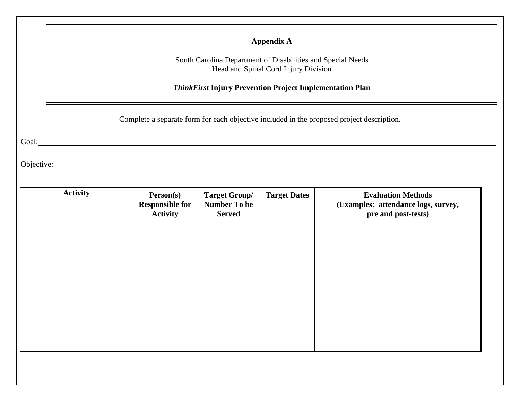# **Appendix A**

South Carolina Department of Disabilities and Special Needs Head and Spinal Cord Injury Division

*ThinkFirst* **Injury Prevention Project Implementation Plan** 

Complete a separate form for each objective included in the proposed project description.

Goal: Contract Contract Contract Contract Contract Contract Contract Contract Contract Contract Contract Contract Contract Contract Contract Contract Contract Contract Contract Contract Contract Contract Contract Contract

Objective: New York: New York: New York: New York: New York: New York: New York: New York: New York: New York: New York: New York: New York: New York: New York: New York: New York: New York: New York: New York: New York: N

| <b>Activity</b> | Person(s)<br><b>Responsible for</b><br><b>Activity</b> | <b>Target Group/</b><br><b>Number To be</b><br><b>Served</b> | <b>Target Dates</b> | <b>Evaluation Methods</b><br>(Examples: attendance logs, survey,<br>pre and post-tests) |
|-----------------|--------------------------------------------------------|--------------------------------------------------------------|---------------------|-----------------------------------------------------------------------------------------|
|                 |                                                        |                                                              |                     |                                                                                         |
|                 |                                                        |                                                              |                     |                                                                                         |
|                 |                                                        |                                                              |                     |                                                                                         |
|                 |                                                        |                                                              |                     |                                                                                         |